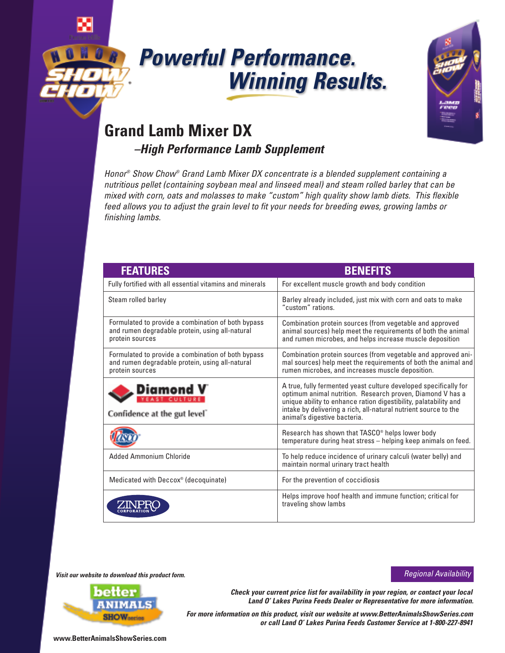

# *Powerful Performance. Winning Results.*



## **Grand Lamb Mixer DX**

*–High Performance Lamb Supplement*

*Honor ® Show Chow® Grand Lamb Mixer DX concentrate is a blended supplement containing a nutritious pellet (containing soybean meal and linseed meal) and steam rolled barley that can be mixed with corn, oats and molasses to make "custom" high quality show lamb diets. This flexible feed allows you to adjust the grain level to fit your needs for breeding ewes, growing lambs or finishing lambs.*

| <b>FEATURES</b>                                                                                                          | <b>BENEFITS</b>                                                                                                                                                                                                                                                                                       |
|--------------------------------------------------------------------------------------------------------------------------|-------------------------------------------------------------------------------------------------------------------------------------------------------------------------------------------------------------------------------------------------------------------------------------------------------|
| Fully fortified with all essential vitamins and minerals                                                                 | For excellent muscle growth and body condition                                                                                                                                                                                                                                                        |
| Steam rolled barley                                                                                                      | Barley already included, just mix with corn and oats to make<br>"custom" rations.                                                                                                                                                                                                                     |
| Formulated to provide a combination of both bypass<br>and rumen degradable protein, using all-natural<br>protein sources | Combination protein sources (from vegetable and approved<br>animal sources) help meet the requirements of both the animal<br>and rumen microbes, and helps increase muscle deposition                                                                                                                 |
| Formulated to provide a combination of both bypass<br>and rumen degradable protein, using all-natural<br>protein sources | Combination protein sources (from vegetable and approved ani-<br>mal sources) help meet the requirements of both the animal and<br>rumen microbes, and increases muscle deposition.                                                                                                                   |
| Confidence at the gut level <sup>®</sup>                                                                                 | A true, fully fermented yeast culture developed specifically for<br>optimum animal nutrition. Research proven, Diamond V has a<br>unique ability to enhance ration digestibility, palatability and<br>intake by delivering a rich, all-natural nutrient source to the<br>animal's digestive bacteria. |
|                                                                                                                          | Research has shown that TASCO <sup>®</sup> helps lower body<br>temperature during heat stress - helping keep animals on feed.                                                                                                                                                                         |
| Added Ammonium Chloride                                                                                                  | To help reduce incidence of urinary calculi (water belly) and<br>maintain normal urinary tract health                                                                                                                                                                                                 |
| Medicated with Deccox <sup>®</sup> (decoquinate)                                                                         | For the prevention of coccidiosis                                                                                                                                                                                                                                                                     |
|                                                                                                                          | Helps improve hoof health and immune function; critical for<br>traveling show lambs                                                                                                                                                                                                                   |

*Visit our website to download this product form.*



*Check your current price list for availability in your region, or contact your local Land O' Lakes Purina Feeds Dealer or Representative for more information.*

*Regional Availability*

*For more information on this product, visit our website at www.BetterAnimalsShowSeries.com or call Land O' Lakes Purina Feeds Customer Service at 1-800-227-8941*